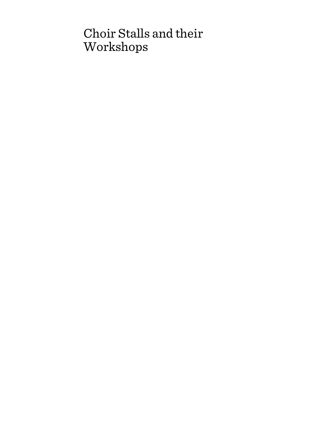# Choir Stalls and their Workshops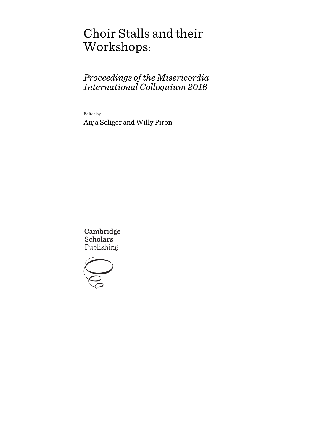# Choir Stalls and their Workshops:

# *Proceedings of the Misericordia International Colloquium 2016*

Edited by

Anja Seliger and Willy Piron

Cambridge **Scholars** Publishing

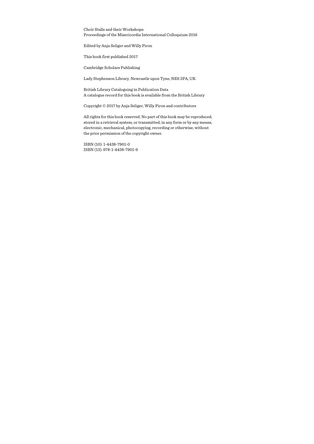Choir Stalls and their Workshops: Proceedings of the Misericordia International Colloquium 2016

Edited by Anja Seliger and Willy Piron

This book first published 2017

Cambridge Scholars Publishing

Lady Stephenson Library, Newcastle upon Tyne, NE6 2PA, UK

British Library Cataloguing in Publication Data A catalogue record for this book is available from the British Library

Copyright © 2017 by Anja Seliger, Willy Piron and contributors

All rights for this book reserved. No part of this book may be reproduced, stored in a retrieval system, or transmitted, in any form or by any means, electronic, mechanical, photocopying, recording or otherwise, without the prior permission of the copyright owner.

ISBN (10): 1-4438-7901-0 ISBN (13): 978-1-4438-7901-9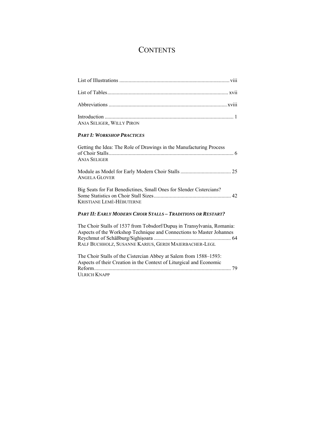# **CONTENTS**

| <b>ANJA SELIGER, WILLY PIRON</b> |  |
|----------------------------------|--|

### *PART I: WORKSHOP PRACTICES*

| Getting the Idea: The Role of Drawings in the Manufacturing Process<br><b>ANJA SELIGER</b>                                    |
|-------------------------------------------------------------------------------------------------------------------------------|
| <b>ANGELA GLOVER</b>                                                                                                          |
| Big Seats for Fat Benedictines, Small Ones for Slender Cistercians?<br>KRISTIANE LEMÉ-HÉBUTERNE                               |
| <b>PART II: EARLY MODERN CHOIR STALLS - TRADITIONS OR RESTART?</b>                                                            |
| The Choir Stalls of 1537 from Tobsdorf/Dupus in Transylvania, Romania:                                                        |
| Aspects of the Workshop Technique and Connections to Master Johannes<br>RALF BUCHHOLZ, SUSANNE KARIUS, GERDI MAIERBACHER-LEGL |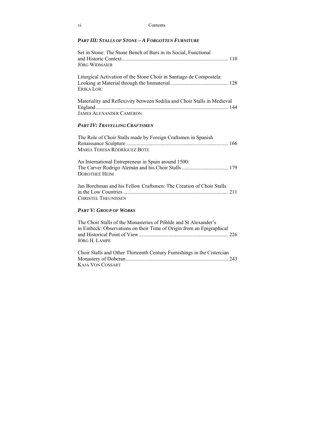| V1 | Contents |
|----|----------|
|----|----------|

### *PART III: STALLS OF STONE – A FORGOTTEN FURNITURE*

| Set in Stone: The Stone Bench of Burs in its Social, Functional<br><b>JÖRG WIDMAIER</b>                                                                    |
|------------------------------------------------------------------------------------------------------------------------------------------------------------|
| Liturgical Activation of the Stone Choir in Santiago de Compostela:<br>ERIKA LOIC                                                                          |
| Materiality and Reflexivity between Sedilia and Choir Stalls in Medieval<br><b>JAMES ALEXANDER CAMERON</b>                                                 |
| Part IV: Travelling Craftsmen                                                                                                                              |
| The Role of Choir Stalls made by Foreign Craftsmen in Spanish<br><b>MARÍA TERESA RODRÍGUEZ BOTE</b>                                                        |
| An International Entrepreneur in Spain around 1500:<br><b>DOROTHEE HEIM</b>                                                                                |
| Jan Borchman and his Fellow Craftsmen: The Creation of Choir Stalls<br><b>CHRISTEL THEUNISSEN</b>                                                          |
| <b>PART V: GROUP OF WORKS</b>                                                                                                                              |
| The Choir Stalls of the Monasteries of Pöhlde and St Alexander's<br>in Einbeck: Observations on their Time of Origin from an Epigraphical<br>JÖRG H. LAMPE |
| Choir Stalls and Other Thirteenth Century Furnishings in the Cistercian                                                                                    |

| Chon Stans and Other Thirteenth Century Furnishings in the Cistercian |  |
|-----------------------------------------------------------------------|--|
|                                                                       |  |
| KAJA VON COSSART                                                      |  |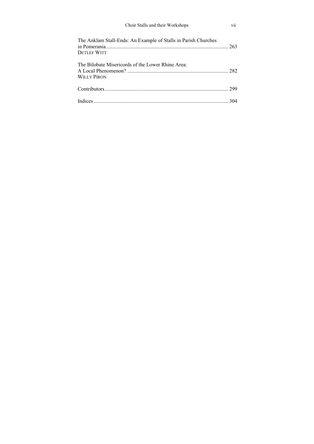| Choir Stalls and their Workshops                                                     | vii |
|--------------------------------------------------------------------------------------|-----|
| The Anklam Stall-Ends: An Example of Stalls in Parish Churches<br><b>DETLEF WITT</b> |     |
| The Bilobate Misericords of the Lower Rhine Area:<br><b>WILLY PIRON</b>              |     |
|                                                                                      |     |
|                                                                                      |     |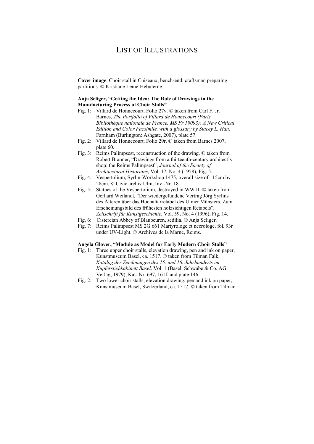# LIST OF ILLUSTRATIONS

**Cover image**: Choir stall in Cuiseaux, bench-end: craftsman preparing partitions. © Kristiane Lemé-Hébuterne.

### **Anja Seliger, "Getting the Idea: The Role of Drawings in the Manufacturing Process of Choir Stalls"**

- Fig. 1: Villard de Honnecourt. Folio 27v. © taken from Carl F. Jr. Barnes, *The Portfolio of Villard de Honnecourt (Paris, Bibliothèque nationale de France, MS Fr 19093): A New Critical Edition and Color Facsimile, with a glossary by Stacey L. Han*. Farnham (Burlington: Ashgate, 2007), plate 57.
- Fig. 2: Villard de Honnecourt. Folio 29r. © taken from Barnes 2007, plate 60.
- Fig. 3: Reims Palimpsest, reconstruction of the drawing. © taken from Robert Branner, "Drawings from a thirteenth-century architect's shop: the Reims Palimpsest", *Journal of the Society of Architectural Historians*, Vol. 17, No. 4 (1958), Fig. 5.
- Fig. 4: Vespertolium, Syrlin-Workshop 1475, overall size of 115cm by 28cm. © Civic archiv Ulm, Inv.-Nr. 18.
- Fig. 5: Statues of the Vespertolium, destroyed in WW II. © taken from Gerhard Weilandt, "Der wiedergefundene Vertrag Jörg Syrlins des Älteren über das Hochaltarretabel des Ulmer Münsters. Zum Erscheinungsbild des frühesten holzsichtigen Retabels", *Zeitschrift für Kunstgeschichte*, Vol. 59, No. 4 (1996), Fig. 14.
- Fig. 6: Cistercian Abbey of Blaubeuren, sedilia. © Anja Seliger.
- Fig. 7: Reims Palimpsest MS 2G 661 Martyrologe et necrologe, fol. 93r under UV-Light. © Archives de la Marne, Reims.

#### **Angela Glover, "Module as Model for Early Modern Choir Stalls"**

- Fig. 1: Three upper choir stalls, elevation drawing, pen and ink on paper, Kunstmuseum Basel, ca. 1517. © taken from Tilman Falk, *Katalog der Zeichnungen des 15. und 16. Jahrhunderts im Kupferstichkabinett Basel*. Vol. 1 (Basel: Schwabe & Co. AG Verlag, 1979), Kat.-Nr. 697, 161f. and plate 146.
- Fig. 2: Two lower choir stalls, elevation drawing, pen and ink on paper, Kunstmuseum Basel, Switzerland, ca. 1517. © taken from Tilman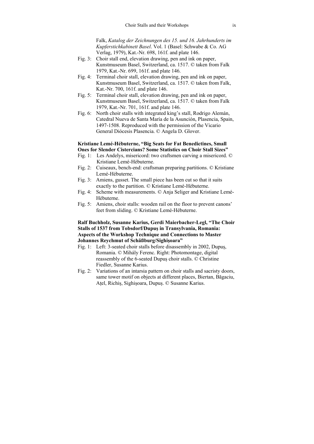Falk, *Katalog der Zeichnungen des 15. und 16. Jahrhunderts im Kupferstichkabinett Basel*. Vol. 1 (Basel: Schwabe & Co. AG Verlag, 1979), Kat.-Nr. 698, 161f. and plate 146.

- Fig. 3: Choir stall end, elevation drawing, pen and ink on paper, Kunstmuseum Basel, Switzerland, ca. 1517. © taken from Falk 1979, Kat.-Nr. 699, 161f. and plate 146.
- Fig. 4: Terminal choir stall, elevation drawing, pen and ink on paper, Kunstmuseum Basel, Switzerland, ca. 1517. © taken from Falk, Kat.-Nr. 700, 161f. and plate 146.
- Fig. 5: Terminal choir stall, elevation drawing, pen and ink on paper, Kunstmuseum Basel, Switzerland, ca. 1517. © taken from Falk 1979, Kat.-Nr. 701, 161f. and plate 146.
- Fig. 6: North choir stalls with integrated king's stall, Rodrigo Alemán, Catedral Nueva de Santa María de la Asunción, Plasencia, Spain, 1497-1508. Reproduced with the permission of the Vicario General Diócesis Plasencia. © Angela D. Glover.

### **Kristiane Lemé-Hébuterne, "Big Seats for Fat Benedictines, Small Ones for Slender Cistercians? Some Statistics on Choir Stall Sizes"**

- Fig. 1: Les Andelys, misericord: two craftsmen carving a misericord. © Kristiane Lemé-Hébuterne.
- Fig. 2: Cuiseaux, bench-end: craftsman preparing partitions. © Kristiane Lemé-Hébuterne.
- Fig. 3: Amiens, gusset. The small piece has been cut so that it suits exactly to the partition. © Kristiane Lemé-Hébuterne.
- Fig. 4: Scheme with measurements. © Anja Seliger and Kristiane Lemé-Hébuterne.
- Fig. 5: Amiens, choir stalls: wooden rail on the floor to prevent canons' feet from sliding. © Kristiane Lemé-Hébuterne.

### **Ralf Buchholz, Susanne Karius, Gerdi Maierbacher-Legl, "The Choir Stalls of 1537 from Tobsdorf/Dupuș in Transylvania, Romania: Aspects of the Workshop Technique and Connections to Master Johannes Reychmut of Schäßburg/Sighișoara"**

- Fig. 1: Left: 3-seated choir stalls before disassembly in 2002, Dupuș, Romania. © Mihály Ferenc. Right: Photomontage, digital reassembly of the 6-seated Dupuș choir stalls. © Christine Fiedler, Susanne Karius.
- Fig. 2: Variations of an intarsia pattern on choir stalls and sacristy doors, same tower motif on objects at different places, Biertan, Băgaciu, Ațel, Richiș, Sighișoara, Dupuș. © Susanne Karius.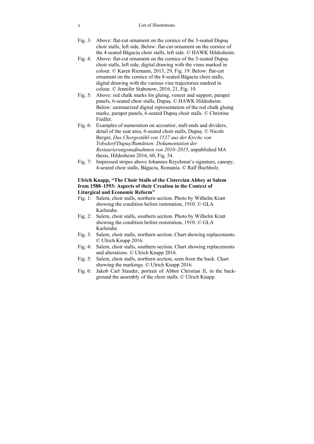#### x List of Illustrations

- Fig. 3: Above: flat-cut ornament on the cornice of the 3-seated Dupus choir stalls, left side. Below: flat-cut ornament on the cornice of the 4-seated Băgaciu choir stalls, left side. © HAWK Hildesheim.
- Fig. 4: Above: flat-cut ornament on the cornice of the 3-seated Dupus choir stalls, left side, digital drawing with the vines marked in colour. © Karen Riemann, 2013, 29, Fig. 19. Below: flat-cut ornament on the cornice of the 8-seated Băgaciu choir stalls, digital drawing with the various vine trajectories marked in colour. © Jennifer Stabenow, 2016, 21, Fig. 10.
- Fig. 5: Above: red chalk marks for gluing, veneer and support, parapet panels, 6-seated choir stalls, Dupuș. © HAWK Hildesheim. Below: summarized digital representation of the red chalk gluing marks, parapet panels, 6-seated Dupuș choir stalls. © Christine Fiedler.
- Fig. 6: Examples of numeration on accoutior, stall-ends and dividers, detail of the seat area, 6-seated choir stalls, Dupuș. © Nicole Berger, *Das Chorgestühl von 1537 aus der Kirche von Tobsdorf/Dupuș/Rumänien: Dokumentation der Restaurierungsmaßnahmen von 2010–2015*, unpublished MA thesis, Hildesheim 2016, 60, Fig. 54.
- Fig. 7: Impressed stripes above Johannes Reychmut's signature, canopy, 4-seated choir stalls, Băgaciu, Romania. © Ralf Buchholz.

### **Ulrich Knapp, "The Choir Stalls of the Cistercian Abbey at Salem from 1588–1593: Aspects of their Creation in the Context of Liturgical and Economic Reform"**

- Fig. 1: Salem, choir stalls, northern section. Photo by Wilhelm Kratt showing the condition before restoration, 1910. © GLA Karlsruhe.
- Fig. 2: Salem, choir stalls, southern section. Photo by Wilhelm Kratt showing the condition before restoration, 1910. © GLA Karlsruhe.
- Fig. 3: Salem, choir stalls, northern section. Chart showing replacements. © Ulrich Knapp 2016.
- Fig. 4: Salem, choir stalls, southern section. Chart showing replacements and alterations. © Ulrich Knapp 2016.
- Fig. 5: Salem, choir stalls, northern section, seen from the back. Chart showing the markings. © Ulrich Knapp 2016.
- Fig. 6: Jakob Carl Stauder, portrait of Abbot Christian II, in the background the assembly of the choir stalls. © Ulrich Knapp.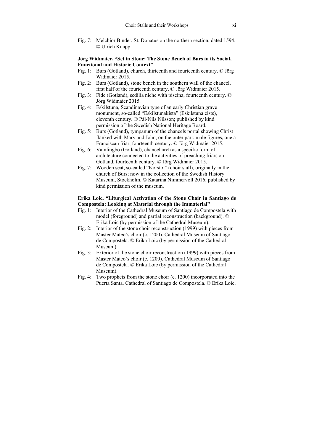Fig. 7: Melchior Binder, St. Donatus on the northern section, dated 1594. © Ulrich Knapp.

### **Jörg Widmaier, "Set in Stone: The Stone Bench of Burs in its Social, Functional and Historic Context"**

- Fig. 1: Burs (Gotland), church, thirteenth and fourteenth century. © Jörg Widmaier 2015.
- Fig. 2: Burs (Gotland), stone bench in the southern wall of the chancel, first half of the fourteenth century. © Jörg Widmaier 2015.
- Fig. 3: Fide (Gotland), sedilia niche with piscina, fourteenth century. © Jörg Widmaier 2015.
- Fig. 4: Eskilstuna, Scandinavian type of an early Christian grave monument, so-called "Eskilstunakista" (Eskilstuna cists), eleventh century. © Pål-Nils Nilsson; published by kind permission of the Swedish National Heritage Board.
- Fig. 5: Burs (Gotland), tympanum of the chancels portal showing Christ flanked with Mary and John, on the outer part: male figures, one a Franciscan friar, fourteenth century. © Jörg Widmaier 2015.
- Fig. 6: Vamlingbo (Gotland), chancel arch as a specific form of architecture connected to the activities of preaching friars on Gotland, fourteenth century. © Jörg Widmaier 2015.
- Fig. 7: Wooden seat, so-called "Korstol" (choir stall), originally in the church of Burs; now in the collection of the Swedish History Museum, Stockholm. © Katarina Nimmervoll 2016; published by kind permission of the museum.

### **Erika Loic, "Liturgical Activation of the Stone Choir in Santiago de Compostela: Looking at Material through the Immaterial"**

- Fig. 1: Interior of the Cathedral Museum of Santiago de Compostela with model (foreground) and partial reconstruction (background). © Erika Loic (by permission of the Cathedral Museum).
- Fig. 2: Interior of the stone choir reconstruction (1999) with pieces from Master Mateo's choir (c. 1200). Cathedral Museum of Santiago de Compostela. © Erika Loic (by permission of the Cathedral Museum).
- Fig. 3: Exterior of the stone choir reconstruction (1999) with pieces from Master Mateo's choir (c. 1200). Cathedral Museum of Santiago de Compostela. © Erika Loic (by permission of the Cathedral Museum).
- Fig. 4: Two prophets from the stone choir (c. 1200) incorporated into the Puerta Santa. Cathedral of Santiago de Compostela. © Erika Loic.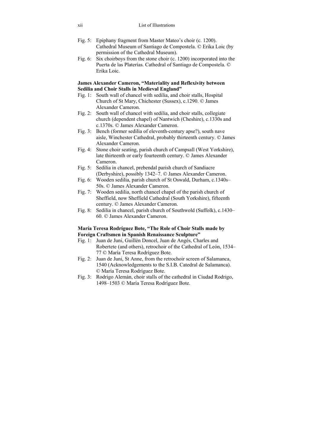#### xii List of Illustrations

- Fig. 5: Epiphany fragment from Master Mateo's choir (c. 1200). Cathedral Museum of Santiago de Compostela. © Erika Loic (by permission of the Cathedral Museum).
- Fig. 6: Six choirboys from the stone choir (c. 1200) incorporated into the Puerta de las Platerías. Cathedral of Santiago de Compostela. © Erika Loic.

### **James Alexander Cameron, "Materiality and Reflexivity between Sedilia and Choir Stalls in Medieval England"**

- Fig. 1: South wall of chancel with sedilia, and choir stalls, Hospital Church of St Mary, Chichester (Sussex), c.1290. © James Alexander Cameron.
- Fig. 2: South wall of chancel with sedilia, and choir stalls, collegiate church (dependent chapel) of Nantwich (Cheshire), c.1330s and c.1370s. © James Alexander Cameron.
- Fig. 3: Bench (former sedilia of eleventh-century apse?), south nave aisle, Winchester Cathedral, probably thirteenth century. © James Alexander Cameron.
- Fig. 4: Stone choir seating, parish church of Campsall (West Yorkshire), late thirteenth or early fourteenth century. © James Alexander Cameron.
- Fig. 5: Sedilia in chancel, prebendal parish church of Sandiacre (Derbyshire), possibly 1342–7. © James Alexander Cameron.
- Fig. 6: Wooden sedilia, parish church of St Oswald, Durham, c.1340s– 50s. © James Alexander Cameron.
- Fig. 7: Wooden sedilia, north chancel chapel of the parish church of Sheffield, now Sheffield Cathedral (South Yorkshire), fifteenth century. © James Alexander Cameron.
- Fig. 8: Sedilia in chancel, parish church of Southwold (Suffolk), c.1430– 60. © James Alexander Cameron.

### **María Teresa Rodríguez Bote, "The Role of Choir Stalls made by Foreign Craftsmen in Spanish Renaissance Sculpture"**

- Fig. 1: Juan de Juni, Guillén Doncel, Juan de Angés, Charles and Robertete (and others), retrochoir of the Cathedral of León, 1534– 77 © María Teresa Rodríguez Bote.
- Fig. 2: Juan de Juni, St Anne, from the retrochoir screen of Salamanca, 1540 (Acknowledgements to the S.I.B. Catedral de Salamanca). © María Teresa Rodríguez Bote.
- Fig. 3: Rodrigo Alemán, choir stalls of the cathedral in Ciudad Rodrigo, 1498–1503 © María Teresa Rodríguez Bote.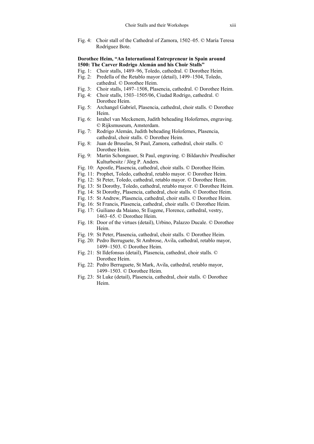Fig. 4: Choir stall of the Cathedral of Zamora, 1502–05. © María Teresa Rodríguez Bote.

#### **Dorothee Heim, "An International Entrepreneur in Spain around 1500: The Carver Rodrigo Alemán and his Choir Stalls"**

- Fig. 1: Choir stalls, 1489–96, Toledo, cathedral. © Dorothee Heim.
- Fig. 2: Predella of the Retablo mayor (detail), 1499–1504, Toledo, cathedral. © Dorothee Heim.
- Fig. 3: Choir stalls, 1497–1508, Plasencia, cathedral. © Dorothee Heim.
- Fig. 4: Choir stalls, 1503–1505/06, Ciudad Rodrigo, cathedral. © Dorothee Heim.
- Fig. 5: Archangel Gabriel, Plasencia, cathedral, choir stalls. © Dorothee Heim.
- Fig. 6: Israhel van Meckenem, Judith beheading Holofernes, engraving. © Rijksmuseum, Amsterdam.
- Fig. 7: Rodrigo Alemán, Judith beheading Holofernes, Plasencia, cathedral, choir stalls. © Dorothee Heim.
- Fig. 8: Juan de Bruselas, St Paul, Zamora, cathedral, choir stalls. © Dorothee Heim.
- Fig. 9: Martin Schongauer, St Paul, engraving. © Bildarchiv Preußischer Kulturbesitz / Jörg P. Anders.
- Fig. 10: Apostle, Plasencia, cathedral, choir stalls. © Dorothee Heim.
- Fig. 11: Prophet, Toledo, cathedral, retablo mayor. © Dorothee Heim.
- Fig. 12: St Peter, Toledo, cathedral, retablo mayor. © Dorothee Heim.
- Fig. 13: St Dorothy, Toledo, cathedral, retablo mayor. © Dorothee Heim.
- Fig. 14: St Dorothy, Plasencia, cathedral, choir stalls. © Dorothee Heim.
- Fig. 15: St Andrew, Plasencia, cathedral, choir stalls. © Dorothee Heim.
- Fig. 16: St Francis, Plasencia, cathedral, choir stalls. © Dorothee Heim.
- Fig. 17: Guiliano da Maiano, St Eugene, Florence, cathedral, vestry, 1463–65. © Dorothee Heim.
- Fig. 18: Door of the virtues (detail), Urbino, Palazzo Ducale. © Dorothee Heim.
- Fig. 19: St Peter, Plasencia, cathedral, choir stalls. © Dorothee Heim.
- Fig. 20: Pedro Berruguete, St Ambrose, Avila, cathedral, retablo mayor, 1499–1503. © Dorothee Heim.
- Fig. 21: St Ildefonsus (detail), Plasencia, cathedral, choir stalls. © Dorothee Heim.
- Fig. 22: Pedro Berruguete, St Mark, Avila, cathedral, retablo mayor, 1499–1503. © Dorothee Heim.
- Fig. 23: St Luke (detail), Plasencia, cathedral, choir stalls. © Dorothee Heim.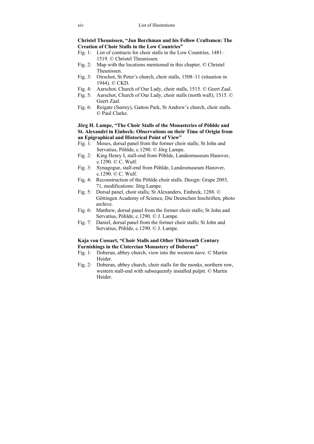**Christel Theunissen, "Jan Borchman and his Fellow Craftsmen: The Creation of Choir Stalls in the Low Countries"** 

- Fig. 1: List of contracts for choir stalls in the Low Countries, 1481– 1519. © Christel Theunissen.
- Fig. 2: Map with the locations mentioned in this chapter. © Christel Theunissen.
- Fig. 3: Oirschot, St Peter's church, choir stalls, 1508–11 (situation in 1944). © CKD.
- Fig. 4: Aarschot, Church of Our Lady, choir stalls, 1515. © Geert Zaal.
- Fig. 5: Aarschot, Church of Our Lady, choir stalls (north wall), 1515. © Geert Zaal.
- Fig. 6: Reigate (Surrey), Gatton Park, St Andrew's church, choir stalls. © Paul Clarke.

### **Jörg H. Lampe, "The Choir Stalls of the Monasteries of Pöhlde and St. Alexandri in Einbeck: Observations on their Time of Origin from an Epigraphical and Historical Point of View"**

- Fig. 1: Moses, dorsal panel from the former choir stalls; St John and Servatius, Pöhlde, c.1290. © Jörg Lampe.
- Fig. 2: King Henry I, stall-end from Pöhlde, Landesmuseum Hanover, c.1290. © C. Wulf.
- Fig. 3: Synagogue, stall-end from Pöhlde, Landesmuseum Hanover, c. 1290.  $\odot$  C. Wulf.
- Fig. 4: Reconstruction of the Pöhlde choir stalls. Design: Grape 2003, 71, modifications: Jörg Lampe.
- Fig. 5: Dorsal panel, choir stalls; St Alexanders, Einbeck, 1288. © Göttingen Academy of Science, Die Deutschen Inschriften, photo archive.
- Fig. 6: Matthew, dorsal panel from the former choir stalls; St John and Servatius, Pöhlde, c.1290. © J. Lampe.
- Fig. 7: Daniel, dorsal panel from the former choir stalls; St John and Servatius, Pöhlde, c.1290. © J. Lampe.

### **Kaja von Cossart, "Choir Stalls and Other Thirteenth Century Furnishings in the Cistercian Monastery of Doberan"**

- Fig. 1: Doberan, abbey church, view into the western nave. © Martin Heider.
- Fig. 2: Doberan, abbey church, choir stalls for the monks, northern row, western stall-end with subsequently installed pulpit. © Martin Heider.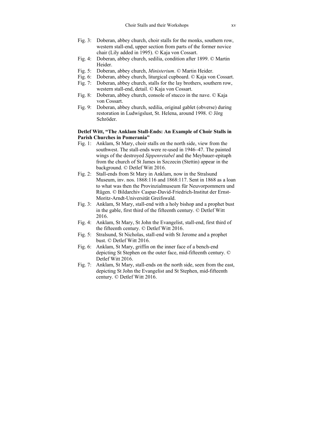- Fig. 3: Doberan, abbey church, choir stalls for the monks, southern row, western stall-end, upper section from parts of the former novice chair (Lily added in 1995). © Kaja von Cossart.
- Fig. 4: Doberan, abbey church, sedilia, condition after 1899. © Martin Heider.
- Fig. 5: Doberan, abbey church, *Ministerium*. © Martin Heider.
- Fig. 6: Doberan, abbey church, liturgical cupboard. © Kaja von Cossart.
- Fig. 7: Doberan, abbey church, stalls for the lay brothers, southern row, western stall-end, detail. © Kaja von Cossart.
- Fig. 8: Doberan, abbey church, console of stucco in the nave. © Kaja von Cossart.
- Fig. 9: Doberan, abbey church, sedilia, original gablet (obverse) during restoration in Ludwigslust, St. Helena, around 1998. © Jörg Schröder.

### **Detlef Witt, "The Anklam Stall-Ends: An Example of Choir Stalls in Parish Churches in Pomerania"**

- Fig. 1: Anklam, St Mary, choir stalls on the north side, view from the southwest. The stall-ends were re-used in 1946–47. The painted wings of the destroyed *Sippenretabel* and the Meybauer-epitaph from the church of St James in Szczecin (Stettin) appear in the background. © Detlef Witt 2016.
- Fig. 2: Stall-ends from St Mary in Anklam, now in the Stralsund Museum, inv. nos. 1868:116 and 1868:117. Sent in 1868 as a loan to what was then the Provinzialmuseum für Neuvorpommern und Rügen. © Bildarchiv Caspar-David-Friedrich-Institut der Ernst-Moritz-Arndt-Universität Greifswald.
- Fig. 3: Anklam, St Mary, stall-end with a holy bishop and a prophet bust in the gable, first third of the fifteenth century. © Detlef Witt 2016.
- Fig. 4: Anklam, St Mary, St John the Evangelist, stall-end, first third of the fifteenth century. © Detlef Witt 2016.
- Fig. 5: Stralsund, St Nicholas, stall-end with St Jerome and a prophet bust. © Detlef Witt 2016.
- Fig. 6: Anklam, St Mary, griffin on the inner face of a bench-end depicting St Stephen on the outer face, mid-fifteenth century. © Detlef Witt 2016.
- Fig. 7: Anklam, St Mary, stall-ends on the north side, seen from the east, depicting St John the Evangelist and St Stephen, mid-fifteenth century. © Detlef Witt 2016.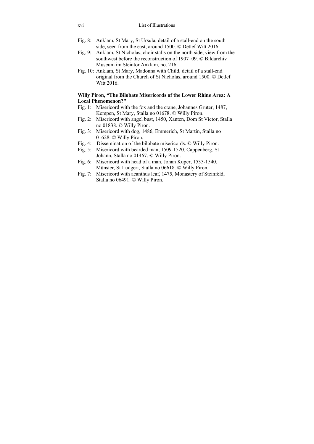- Fig. 8: Anklam, St Mary, St Ursula, detail of a stall-end on the south side, seen from the east, around 1500. © Detlef Witt 2016.
- Fig. 9: Anklam, St Nicholas, choir stalls on the north side, view from the southwest before the reconstruction of 1907–09. © Bildarchiv Museum im Steintor Anklam, no. 216.
- Fig. 10: Anklam, St Mary, Madonna with Child, detail of a stall-end original from the Church of St Nicholas, around 1500. © Detlef Witt 2016.

### **Willy Piron, "The Bilobate Misericords of the Lower Rhine Area: A Local Phenomenon?"**

- Fig. 1: Misericord with the fox and the crane, Johannes Gruter, 1487, Kempen, St Mary, Stalla no 01678. © Willy Piron.
- Fig. 2: Misericord with angel bust, 1450, Xanten, Dom St Victor, Stalla no 01838. © Willy Piron.
- Fig. 3: Misericord with dog, 1486, Emmerich, St Martin, Stalla no 01628. © Willy Piron.
- Fig. 4: Dissemination of the bilobate misericords. © Willy Piron.
- Fig. 5: Misericord with bearded man, 1509-1520, Cappenberg, St Johann, Stalla no 01467. © Willy Piron.
- Fig. 6: Misericord with head of a man, Johan Kuper, 1535-1540, Münster, St Ludgeri, Stalla no 06618. © Willy Piron.
- Fig. 7: Misericord with acanthus leaf, 1475, Monastery of Steinfeld, Stalla no 06491. © Willy Piron.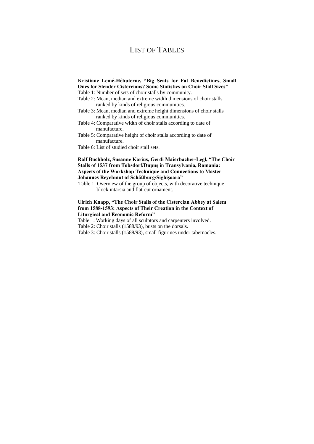# LIST OF TABLES

### **Kristiane Lemé-Hébuterne, "Big Seats for Fat Benedictines, Small Ones for Slender Cistercians? Some Statistics on Choir Stall Sizes"**

- Table 1: Number of sets of choir stalls by community.
- Table 2: Mean, median and extreme width dimensions of choir stalls ranked by kinds of religious communities.
- Table 3: Mean, median and extreme height dimensions of choir stalls ranked by kinds of religious communities.
- Table 4: Comparative width of choir stalls according to date of manufacture.
- Table 5: Comparative height of choir stalls according to date of manufacture.
- Table 6: List of studied choir stall sets.

### **Ralf Buchholz, Susanne Karius, Gerdi Maierbacher-Legl, "The Choir Stalls of 1537 from Tobsdorf/Dupuș in Transylvania, Romania: Aspects of the Workshop Technique and Connections to Master Johannes Reychmut of Schäßburg/Sighișoara"**

Table 1: Overview of the group of objects, with decorative technique block intarsia and flat-cut ornament.

### **Ulrich Knapp, "The Choir Stalls of the Cistercian Abbey at Salem from 1588-1593: Aspects of Their Creation in the Context of Liturgical and Economic Reform"**

Table 1: Working days of all sculptors and carpenters involved.

Table 2: Choir stalls (1588/93), busts on the dorsals.

Table 3: Choir stalls (1588/93), small figurines under tabernacles.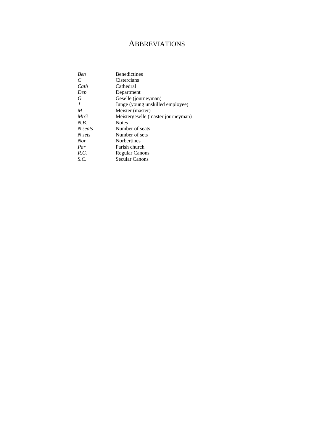# **ABBREVIATIONS**

| <b>Ben</b> | <b>Benedictines</b>                |
|------------|------------------------------------|
| C          | Cistercians                        |
| Cath       | Cathedral                          |
| Dep        | Department                         |
| G          | Geselle (journeyman)               |
| J          | Junge (young unskilled employee)   |
| M          | Meister (master)                   |
| MrG        | Meistergeselle (master journeyman) |
| N.B.       | <b>Notes</b>                       |
| N seats    | Number of seats                    |
| N sets     | Number of sets                     |
| <b>Nor</b> | <b>Norbertines</b>                 |
| Par        | Parish church                      |
| R.C.       | Regular Canons                     |
| S.C.       | Secular Canons                     |
|            |                                    |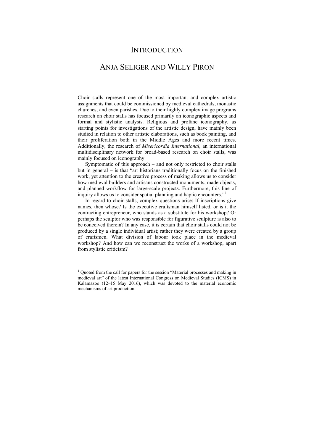### **INTRODUCTION**

## ANJA SELIGER AND WILLY PIRON

Choir stalls represent one of the most important and complex artistic assignments that could be commissioned by medieval cathedrals, monastic churches, and even parishes. Due to their highly complex image programs research on choir stalls has focused primarily on iconographic aspects and formal and stylistic analysis. Religious and profane iconography, as starting points for investigations of the artistic design, have mainly been studied in relation to other artistic elaborations, such as book painting, and their proliferation both in the Middle Ages and more recent times. Additionally, the research of *Misericordia International*, an international multidisciplinary network for broad-based research on choir stalls, was mainly focused on iconography.

Symptomatic of this approach – and not only restricted to choir stalls but in general – is that "art historians traditionally focus on the finished work, yet attention to the creative process of making allows us to consider how medieval builders and artisans constructed monuments, made objects, and planned workflow for large-scale projects. Furthermore, this line of inquiry allows us to consider spatial planning and haptic encounters."<sup>1</sup>

In regard to choir stalls, complex questions arise: If inscriptions give names, then whose? Is the executive craftsman himself listed, or is it the contracting entrepreneur, who stands as a substitute for his workshop? Or perhaps the sculptor who was responsible for figurative sculpture is also to be conceived therein? In any case, it is certain that choir stalls could not be produced by a single individual artist; rather they were created by a group of craftsmen. What division of labour took place in the medieval workshop? And how can we reconstruct the works of a workshop, apart from stylistic criticism?

 1 Quoted from the call for papers for the session "Material processes and making in medieval art" of the latest International Congress on Medieval Studies (ICMS) in Kalamazoo (12–15 May 2016), which was devoted to the material economic mechanisms of art production.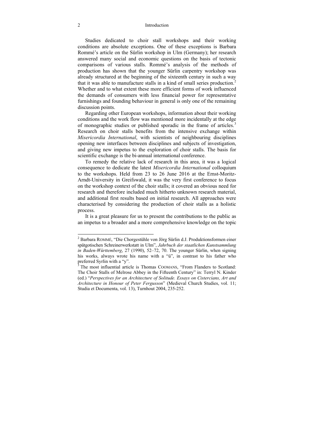#### 2 Introduction

Studies dedicated to choir stall workshops and their working conditions are absolute exceptions. One of these exceptions is Barbara Rommé's article on the Sürlin workshop in Ulm (Germany); her research answered many social and economic questions on the basis of tectonic comparisons of various stalls. Rommé's analysis of the methods of production has shown that the younger Sürlin carpentry workshop was already structured at the beginning of the sixteenth century in such a way that it was able to manufacture stalls in a kind of small series production.<sup>2</sup> Whether and to what extent these more efficient forms of work influenced the demands of consumers with less financial power for representative furnishings and founding behaviour in general is only one of the remaining discussion points.

Regarding other European workshops, information about their working conditions and the work flow was mentioned more incidentally at the edge of monographic studies or published sporadic in the frame of articles.<sup>3</sup> Research on choir stalls benefits from the intensive exchange within *Misericordia International*, with scientists of neighbouring disciplines opening new interfaces between disciplines and subjects of investigation, and giving new impetus to the exploration of choir stalls. The basis for scientific exchange is the bi-annual international conference.

To remedy the relative lack of research in this area, it was a logical consequence to dedicate the latest *Misericordia International* colloquium to the workshops. Held from 23 to 26 June 2016 at the Ernst-Moritz-Arndt-University in Greifswald, it was the very first conference to focus on the workshop context of the choir stalls; it covered an obvious need for research and therefore included much hitherto unknown research material, and additional first results based on initial research. All approaches were characterised by considering the production of choir stalls as a holistic process.

It is a great pleasure for us to present the contributions to the public as an impetus to a broader and a more comprehensive knowledge on the topic

<sup>&</sup>lt;sup>2</sup> Barbara ROMMÉ, "Die Chorgestühle von Jörg Sürlin d.J. Produktionsformen einer spätgotischen Schreinerwerkstatt in Ulm", *Jahrbuch der staatlichen Kunstsammlung in Baden-Württemberg*, 27 (1990), 52–72, 70. The younger Sürlin, when signing his works, always wrote his name with a "ü", in contrast to his father who preferred Syrlin with a "y".<br><sup>3</sup> The most influential article is Thomas COOMANS, "From Flanders to Scotland:

The Choir Stalls of Melrose Abbey in the Fifteenth Century" in: Terryl N. Kinder (ed.) "*Perspectives for an Architecture of Solitude. Essays on Cistercians, Art and Architecture in Honour of Peter Fergusson*" (Medieval Church Studies, vol. 11; Studia et Documenta, vol. 13), Turnhout 2004, 235-252.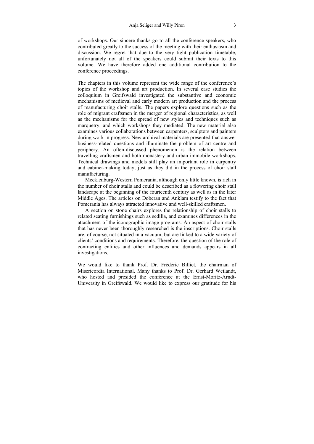of workshops. Our sincere thanks go to all the conference speakers, who contributed greatly to the success of the meeting with their enthusiasm and discussion. We regret that due to the very tight publication timetable, unfortunately not all of the speakers could submit their texts to this volume. We have therefore added one additional contribution to the conference proceedings.

The chapters in this volume represent the wide range of the conference's topics of the workshop and art production. In several case studies the colloquium in Greifswald investigated the substantive and economic mechanisms of medieval and early modern art production and the process of manufacturing choir stalls. The papers explore questions such as the role of migrant craftsmen in the merger of regional characteristics, as well as the mechanisms for the spread of new styles and techniques such as marquetry, and which workshops they mediated. The new material also examines various collaborations between carpenters, sculptors and painters during work in progress. New archival materials are presented that answer business-related questions and illuminate the problem of art centre and periphery. An often-discussed phenomenon is the relation between travelling craftsmen and both monastery and urban immobile workshops. Technical drawings and models still play an important role in carpentry and cabinet-making today, just as they did in the process of choir stall manufacturing.

Mecklenburg-Western Pomerania, although only little known, is rich in the number of choir stalls and could be described as a flowering choir stall landscape at the beginning of the fourteenth century as well as in the later Middle Ages. The articles on Doberan and Anklam testify to the fact that Pomerania has always attracted innovative and well-skilled craftsmen.

A section on stone chairs explores the relationship of choir stalls to related seating furnishings such as sedilia, and examines differences in the attachment of the iconographic image programs. An aspect of choir stalls that has never been thoroughly researched is the inscriptions. Choir stalls are, of course, not situated in a vacuum, but are linked to a wide variety of clients' conditions and requirements. Therefore, the question of the role of contracting entities and other influences and demands appears in all investigations.

We would like to thank Prof. Dr. Frédéric Billiet, the chairman of Misericordia International. Many thanks to Prof. Dr. Gerhard Weilandt, who hosted and presided the conference at the Ernst-Moritz-Arndt-University in Greifswald. We would like to express our gratitude for his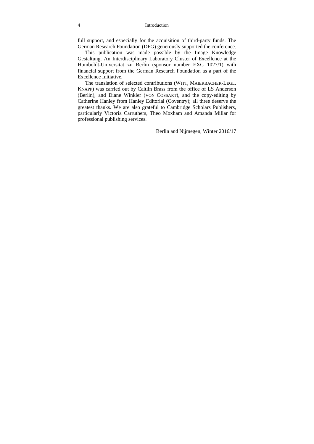full support, and especially for the acquisition of third-party funds. The German Research Foundation (DFG) generously supported the conference.

This publication was made possible by the Image Knowledge Gestaltung. An Interdisciplinary Laboratory Cluster of Excellence at the Humboldt-Universität zu Berlin (sponsor number EXC 1027/1) with financial support from the German Research Foundation as a part of the Excellence Initiative.

The translation of selected contributions (WITT, MAIERBACHER-LEGL, KNAPP) was carried out by Caitlin Brass from the office of LS Anderson (Berlin), and Diane Winkler (VON COSSART), and the copy-editing by Catherine Hanley from Hanley Editorial (Coventry); all three deserve the greatest thanks. We are also grateful to Cambridge Scholars Publishers, particularly Victoria Carruthers, Theo Moxham and Amanda Millar for professional publishing services.

Berlin and Nijmegen, Winter 2016/17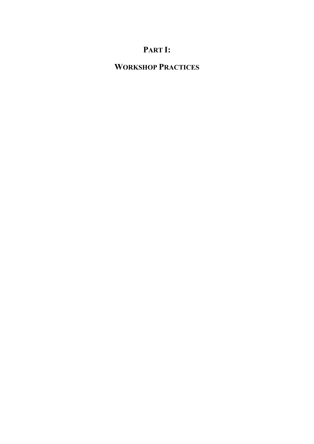# **PART I:**

# **WORKSHOP PRACTICES**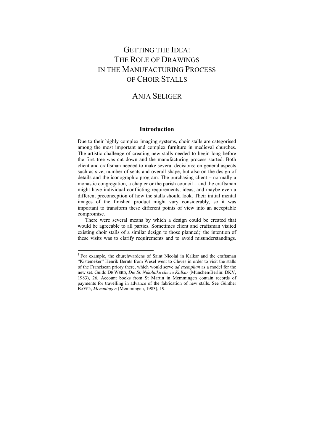# GETTING THE IDEA: THE ROLE OF DRAWINGS IN THE MANUFACTURING PROCESS OF CHOIR STALLS

## ANJA SELIGER

### **Introduction**

Due to their highly complex imaging systems, choir stalls are categorised among the most important and complex furniture in medieval churches. The artistic challenge of creating new stalls needed to begin long before the first tree was cut down and the manufacturing process started. Both client and craftsman needed to make several decisions: on general aspects such as size, number of seats and overall shape, but also on the design of details and the iconographic program. The purchasing client – normally a monastic congregation, a chapter or the parish council – and the craftsman might have individual conflicting requirements, ideas, and maybe even a different preconception of how the stalls should look. Their initial mental images of the finished product might vary considerably, so it was important to transform these different points of view into an acceptable compromise.

There were several means by which a design could be created that would be agreeable to all parties. Sometimes client and craftsman visited existing choir stalls of a similar design to those planned;<sup>1</sup> the intention of these visits was to clarify requirements and to avoid misunderstandings.

<sup>&</sup>lt;sup>1</sup> For example, the churchwardens of Saint Nicolai in Kalkar and the craftsman "Kistemeker" Henrik Bernts from Wesel went to Cleves in order to visit the stalls of the Franciscan priory there, which would serve *ad exemplum* as a model for the new set. Guido DE WERD, *Die St. Nikolaikirche zu Kalkar* (München/Berlin: DKV, 1983), 26. Account books from St Martin in Memmingen contain records of payments for travelling in advance of the fabrication of new stalls. See Günther BAYER, *Memmingen* (Memmingen, 1983), 19.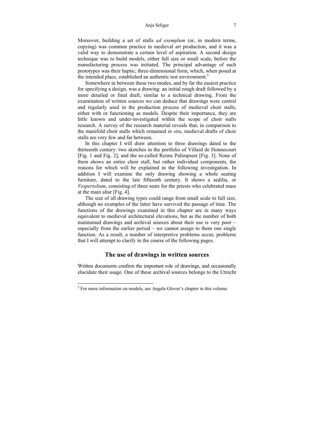#### Anja Seliger 7

Moreover, building a set of stalls *ad exemplum* (or, in modern terms, copying) was common practice in medieval art production, and it was a valid way to demonstrate a certain level of aspiration. A second design technique was to build models, either full size or small scale, before the manufacturing process was initiated. The principal advantage of such prototypes was their haptic, three-dimensional form, which, when posed at the intended place, established an authentic test environment.<sup>2</sup>

Somewhere in between these two modes, and by far the easiest practice for specifying a design, was a drawing: an initial rough draft followed by a more detailed or final draft, similar to a technical drawing. From the examination of written sources we can deduce that drawings were central and regularly used in the production process of medieval choir stalls, either with or functioning as models. Despite their importance, they are little known and under-investigated within the scope of choir stalls research. A survey of the research material reveals that, in comparison to the manifold choir stalls which remained *in situ*, medieval drafts of choir stalls are very few and far between.

In this chapter I will draw attention to three drawings dated to the thirteenth century: two sketches in the portfolio of Villard de Honnecourt [Fig. 1 and Fig. 2], and the so-called Reims Palimpsest [Fig. 3]. None of them shows an entire choir stall, but rather individual components, the reasons for which will be explained in the following investigation. In addition I will examine the only drawing showing a whole seating furniture, dated to the late fifteenth century. It shows a sedilia, or *Vespertolium*, consisting of three seats for the priests who celebrated mass at the main altar [Fig. 4].

The size of all drawing types could range from small scale to full size, although no examples of the latter have survived the passage of time. The functions of the drawings examined in this chapter are in many ways equivalent to medieval architectural elevations, but as the number of both maintained drawings and archival sources about their use is very poor – especially from the earlier period – we cannot assign to them one single function. As a result, a number of interpretive problems occur, problems that I will attempt to clarify in the course of the following pages.

### **The use of drawings in written sources**

Written documents confirm the important role of drawings, and occasionally elucidate their usage. One of these archival sources belongs to the Utrecht

 $2^2$  For more information on models, see Angela Glover's chapter in this volume.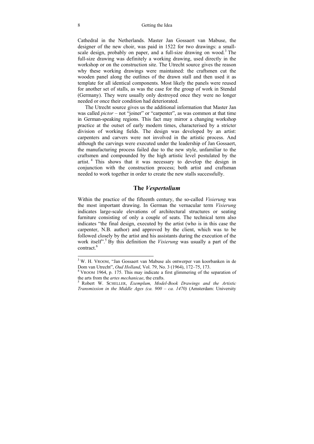#### 8 Getting the Idea

Cathedral in the Netherlands. Master Jan Gossaert van Mabuse, the designer of the new choir, was paid in 1522 for two drawings: a smallscale design, probably on paper, and a full-size drawing on wood.<sup>3</sup> The full-size drawing was definitely a working drawing, used directly in the workshop or on the construction site. The Utrecht source gives the reason why these working drawings were maintained: the craftsmen cut the wooden panel along the outlines of the drawn stall and then used it as template for all identical components. Most likely the panels were reused for another set of stalls, as was the case for the group of work in Stendal (Germany). They were usually only destroyed once they were no longer needed or once their condition had deteriorated.

The Utrecht source gives us the additional information that Master Jan was called *pictor* – not "joiner" or "carpenter", as was common at that time in German-speaking regions. This fact may mirror a changing workshop practice at the outset of early modern times, characterised by a stricter division of working fields. The design was developed by an artist: carpenters and carvers were not involved in the artistic process. And although the carvings were executed under the leadership of Jan Gossaert, the manufacturing process failed due to the new style, unfamiliar to the craftsmen and compounded by the high artistic level postulated by the artist. 4 This shows that it was necessary to develop the design in conjunction with the construction process; both artist and craftsman needed to work together in order to create the new stalls successfully.

### **The** *Vespertolium*

Within the practice of the fifteenth century, the so-called *Visierung* was the most important drawing. In German the vernacular term *Visierung* indicates large-scale elevations of architectural structures or seating furniture consisting of only a couple of seats. The technical term also indicates "the final design, executed by the artist (who is in this case the carpenter, N.B. author) and approved by the client, which was to be followed closely by the artist and his assistants during the execution of the work itself".<sup>5</sup> By this definition the *Visierung* was usually a part of the contract.<sup>6</sup>

<sup>&</sup>lt;sup>3</sup> W. H. VROOM, "Jan Gossaert van Mabuse als ontwerper van koorbanken in de Dom van Utrecht", *Oud Holland*, Vol. 79, No. 3 (1964), 172–75, 173. 4

VROOM 1964, p. 175. This may indicate a first glimmering of the separation of the arts from the *artes mechanicae*, the crafts.<br><sup>5</sup> Robert W. SCHELLER, *Exemplum, Model-Book Drawings and the Artistic* 

*Transmission in the Middle Ages (ca. 900 – ca. 1470)* (Amsterdam: University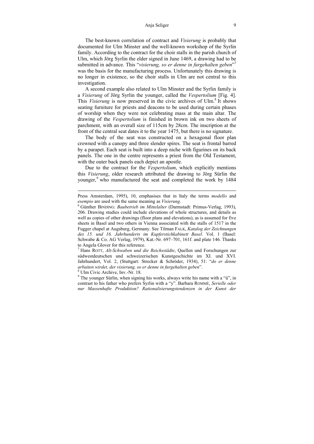#### Anja Seliger 9

The best-known correlation of contract and *Visierung* is probably that documented for Ulm Minster and the well-known workshop of the Syrlin family. According to the contract for the choir stalls in the parish church of Ulm, which Jörg Syrlin the elder signed in June 1469, a drawing had to be submitted in advance. This "*visierung, so er denne in furgehalten geben*" 7 was the basis for the manufacturing process. Unfortunately this drawing is no longer in existence, so the choir stalls in Ulm are not central to this investigation.

A second example also related to Ulm Minster and the Syrlin family is a *Visierung* of Jörg Syrlin the younger, called the *Vespertolium* [Fig. 4]. This *Visierung* is now preserved in the civic archives of Ulm.<sup>8</sup> It shows seating furniture for priests and deacons to be used during certain phases of worship when they were not celebrating mass at the main altar. The drawing of the *Vespertolium* is finished in brown ink on two sheets of parchment, with an overall size of 115cm by 28cm. The inscription at the front of the central seat dates it to the year 1475, but there is no signature.

The body of the seat was constructed on a hexagonal floor plan crowned with a canopy and three slender spires. The seat is frontal barred by a parapet. Each seat is built into a deep niche with figurines on its back panels. The one in the centre represents a priest from the Old Testament, with the outer back panels each depict an apostle.

Due to the contract for the *Vespertolium*, which explicitly mentions this *Visierung*, older research attributed the drawing to Jörg Sürlin the younger,<sup>9</sup> who manufactured the seat and completed the work by 1484

Ulm Civic Archive, Inv.-Nr. 18.

 $\overline{a}$ 

Press Amsterdam, 1995), 10, emphasises that in Italy the terms *modello* and *esempio* are used with the same meaning as *Visierung*.

Günther BINDING: *Baubetrieb im Mittelalter* (Darmstadt: Primus-Verlag, 1993), 206. Drawing studies could include elevations of whole structures, and details as well as copies of other drawings (floor plans and elevations), as is assumed for five sheets in Basel and two others in Vienna associated with the stalls of 1517 in the Fugger chapel at Augsburg, Germany. See Tilman FALK, *Katalog der Zeichnungen des 15. und 16. Jahrhunderts im Kupferstichkabinett Basel*. Vol. 1 (Basel: Schwabe & Co. AG Verlag, 1979), Kat.-Nr. 697–701, 161f. and plate 146. Thanks to Angela Glover for this reference.

<sup>7</sup> Hans ROTT, *Alt-Schwaben und die Reichsstädte*, Quellen und Forschungen zur südwestdeutschen und schweizerischen Kunstgeschichte im XI. und XVI. Jahrhundert, Vol. 2, (Stuttgart: Strecker & Schröder, 1934), 51: "*do er denne arbaiten wirdet, der visierung, so er denne in furgehalten geben*". 8

<sup>&</sup>lt;sup>9</sup> The younger Sürlin, when signing his works, always write his name with a "ü", in contrast to his father who prefers Syrlin with a "y". Barbara ROMMÉ, *Serielle oder nur Massenhafte Produktion? Rationalisierungstendenzen in der Kunst der*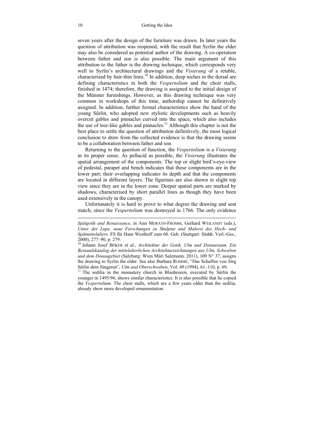seven years after the design of the furniture was drawn. In later years the question of attribution was reopened, with the result that Syrlin the elder may also be considered as potential author of the drawing. A co-operation between father and son is also possible. The main argument of this attribution to the father is the drawing technique, which corresponds very well to Syrlin's architectural drawings and the *Visierung* of a retable, characterised by hair-thin lines.<sup>10</sup> In addition, deep niches in the dorsal are defining characteristics in both the *Vespertolium* and the choir stalls, finished in 1474; therefore, the drawing is assigned to the initial design of the Münster furnishings. However, as this drawing technique was very common in workshops of this time, authorship cannot be definitively assigned. In addition, further formal characteristics show the hand of the young Sürlin, who adopted new stylistic developments such as heavily overcut gables and pinnacles curved into the space, which also includes the use of tree-like gables and pinnacles.<sup>11</sup> Although this chapter is not the best place to settle the question of attribution definitively, the most logical conclusion to draw from the collected evidence is that the drawing seems to be a collaboration between father and son.

Returning to the question of function, the *Vespertolium* is a *Visierung* in its proper sense. As pellucid as possible, the *Visierung* illustrates the spatial arrangement of the components. The top or slight bird's-eye-view of pedestal, parapet and bench indicates that these components are in the lower part; their overlapping indicates its depth and that the components are located in different layers. The figurines are also shown in slight top view since they are in the lower zone. Deeper spatial parts are marked by shadows, characterised by short parallel lines as though they have been used extensively in the canopy.

Unfortunately it is hard to prove to what degree the drawing and seat match, since the *Vespertolium* was destroyed in 1766. The only evidence

*Spätgotik und Renaissance*, in Ann MORATH-FROMM, Gerhard WEILANDT (eds.), *Unter der Lupe, neue Forschungen zu Skulptur und Malerei des Hoch- und Spätmittelalters.* FS für Hans Westhoff zum 60. Geb. (Stuttgart: Süddt. Verl.-Ges., 2000), 277–90, p. 279.

younger in 1495/96, shows similar characteristics. It is also possible that he copied the *Vespertolium*. The choir stalls, which are a few years older than the sedilia, already show more developed ornamentation.

 $\overline{a}$ 

<sup>10</sup> Johann Josef BÖKER et al., *Architektur der Gotik, Ulm und Donauraum. Ein Bestandskatalog der mittelalterlichen Architekturzeichnungen aus Ulm, Schwaben und dem Donaugebiet* (Salzburg: Wien Müri Salzmann, 2011), 109 N° 37, assigns the drawing to Syrlin the elder. See also Barbara ROMMÉ, "Das Schaffen von Jörg Sürlin dem Jüngeren", *Ulm und Oberschwaben*, Vol. 49 (1994), 61–110, p. 69. <sup>11</sup> The sedilia in the monastery church in Blaubeuren, executed by Sürlin the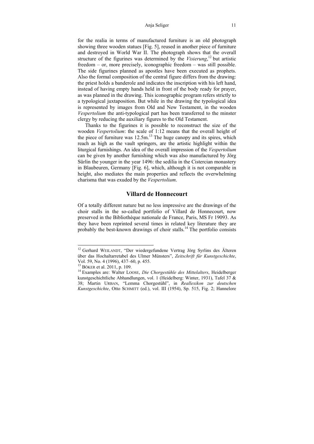#### Anja Seliger 11

for the realia in terms of manufactured furniture is an old photograph showing three wooden statues [Fig. 5], reused in another piece of furniture and destroyed in World War II. The photograph shows that the overall structure of the figurines was determined by the *Visierung*, 12 but artistic freedom – or, more precisely, iconographic freedom – was still possible. The side figurines planned as apostles have been executed as prophets. Also the formal composition of the central figure differs from the drawing: the priest holds a banderole and indicates the inscription with his left hand, instead of having empty hands held in front of the body ready for prayer, as was planned in the drawing. This iconographic program refers strictly to a typological juxtaposition. But while in the drawing the typological idea is represented by images from Old and New Testament, in the wooden *Vespertolium* the anti-typological part has been transferred to the minster clergy by reducing the auxiliary figures to the Old Testament.

Thanks to the figurines it is possible to reconstruct the size of the wooden *Vespertolium*: the scale of 1:12 means that the overall height of the piece of furniture was  $12.5$ m.<sup>13</sup> The huge canopy and its spires, which reach as high as the vault springers, are the artistic highlight within the liturgical furnishings. An idea of the overall impression of the *Vespertolium* can be given by another furnishing which was also manufactured by Jörg Sürlin the younger in the year 1496: the sedilia in the Cistercian monastery in Blaubeuren, Germany [Fig. 6], which, although it is not comparable in height, also mediates the main properties and reflects the overwhelming charisma that was exuded by the *Vespertolium*.

### **Villard de Honnecourt**

Of a totally different nature but no less impressive are the drawings of the choir stalls in the so-called portfolio of Villard de Honnecourt, now preserved in the Bibliothèque nationale de France, Paris, MS Fr 19093. As they have been reprinted several times in related key literature they are probably the best-known drawings of choir stalls.14 The portfolio consists

<sup>&</sup>lt;sup>12</sup> Gerhard WEILANDT, "Der wiedergefundene Vertrag Jörg Syrlins des Älteren über das Hochaltarretabel des Ulmer Münsters", *Zeitschrift für Kunstgeschichte*, Vol. 59, No. 4 (1996), 437–60, p. 455.<br><sup>13</sup> Böker et al. 2011, p. 109.

<sup>&</sup>lt;sup>14</sup> Examples are: Walter LOOSE, *Die Chorgestühle des Mittelalters*, Heidelberger kunstgeschichtliche Abhandlungen, vol. 1 (Heidelberg: Winter, 1931), Tafel 37 & 38; Martin URBAN, "Lemma Chorgestühl", in *Reallexikon zur deutschen Kunstgeschichte*, Otto SCHMITT (ed.), vol. III (1954), Sp. 515, Fig. 2; Hannelore